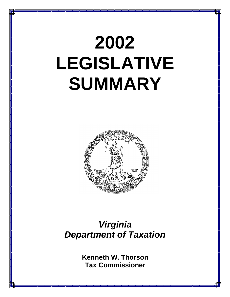# **2002 LEGISLATIVE SUMMARY**



## *Virginia Department of Taxation*

**Kenneth W. Thorson Tax Commissioner**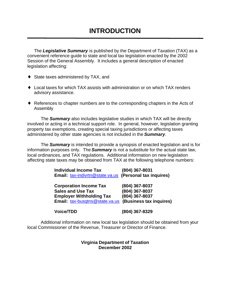The *Legislative Summary* is published by the Department of Taxation (TAX) as a convenient reference guide to state and local tax legislation enacted by the 2002 Session of the General Assembly. It includes a general description of enacted legislation affecting:

- ♦ State taxes administered by TAX, and
- ♦ Local taxes for which TAX assists with administration or on which TAX renders advisory assistance.
- ♦ References to chapter numbers are to the corresponding chapters in the Acts of Assembly

The *Summary* also includes legislative studies in which TAX will be directly involved or acting in a technical support role. In general, however, legislation granting property tax exemptions, creating special taxing jurisdictions or affecting taxes administered by other state agencies is not included in the *Summary*.

The *Summary* is intended to provide a synopsis of enacted legislation and is for information purposes only. The *Summary* is not a substitute for the actual state law, local ordinances, and TAX regulations. Additional information on new legislation affecting state taxes may be obtained from TAX at the following telephone numbers:

| <b>Individual Income Tax</b><br><b>Email:</b> tax-indivrtn@state.va.us (Personal tax inquires) | (804) 367-8031 |
|------------------------------------------------------------------------------------------------|----------------|
| <b>Corporation Income Tax</b>                                                                  | (804) 367-8037 |

**Sales and Use Tax (804) 367-8037 Employer Withholding Tax Email:** tax-busqtns@state.va.us **(Business tax inquires)**

**Voice/TDD (804) 367-8329**

Additional information on new local tax legislation should be obtained from your local Commissioner of the Revenue, Treasurer or Director of Finance.

#### **Virginia Department of Taxation December 2002**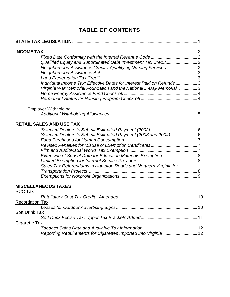## **TABLE OF CONTENTS**

| <b>INCOME TAX.</b>     |                                                                       |  |
|------------------------|-----------------------------------------------------------------------|--|
|                        |                                                                       |  |
|                        |                                                                       |  |
|                        | Neighborhood Assistance Credits; Qualifying Nursing Services  2       |  |
|                        |                                                                       |  |
|                        |                                                                       |  |
|                        | Individual Income Tax: Effective Dates for Interest Paid on Refunds 3 |  |
|                        | Virginia War Memorial Foundation and the National D-Day Memorial  3   |  |
|                        |                                                                       |  |
|                        |                                                                       |  |
|                        | <b>Employer Withholding</b>                                           |  |
|                        |                                                                       |  |
|                        | <b>RETAIL SALES AND USE TAX</b>                                       |  |
|                        |                                                                       |  |
|                        | Selected Dealers to Submit Estimated Payment (2003 and 2004)  6       |  |
|                        |                                                                       |  |
|                        |                                                                       |  |
|                        |                                                                       |  |
|                        | Extension of Sunset Date for Education Materials Exemption 8          |  |
|                        |                                                                       |  |
|                        | Sales Tax Referendums in Hampton Roads and Northern Virginia for      |  |
|                        |                                                                       |  |
|                        |                                                                       |  |
| <b>SCC Tax</b>         | <b>MISCELLANEOUS TAXES</b>                                            |  |
|                        |                                                                       |  |
| <b>Recordation Tax</b> |                                                                       |  |
|                        |                                                                       |  |
| <b>Soft Drink Tax</b>  |                                                                       |  |
|                        |                                                                       |  |
| <b>Cigarette Tax</b>   |                                                                       |  |
|                        |                                                                       |  |
|                        | Reporting Requirements for Cigarettes Imported into Virginia 12       |  |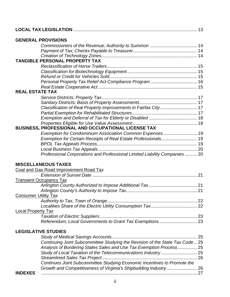| <b>GENERAL PROVISIONS</b>                                                   |  |
|-----------------------------------------------------------------------------|--|
|                                                                             |  |
|                                                                             |  |
|                                                                             |  |
| <b>TANGIBLE PERSONAL PROPERTY TAX</b>                                       |  |
|                                                                             |  |
|                                                                             |  |
|                                                                             |  |
|                                                                             |  |
|                                                                             |  |
| <b>REAL ESTATE TAX</b>                                                      |  |
|                                                                             |  |
|                                                                             |  |
| Classification of Real Property Improvements in Fairfax City 17             |  |
|                                                                             |  |
|                                                                             |  |
|                                                                             |  |
| BUSINESS, PROFESSIONAL AND OCCUPATIONAL LICENSE TAX                         |  |
| Exemption for Condominium Association Common Expenses 19                    |  |
| Exemption for Certain Receipts of Real Estate Professionals 19              |  |
|                                                                             |  |
|                                                                             |  |
| Professional Corporations and Professional Limited Liability Companies  20  |  |
|                                                                             |  |
| <b>MISCELLANEOUS TAXES</b>                                                  |  |
| Coal and Gas Road Improvement Road Tax                                      |  |
|                                                                             |  |
| <b>Transient Occupancy Tax</b>                                              |  |
|                                                                             |  |
|                                                                             |  |
| <b>Consumer Utility Tax</b>                                                 |  |
|                                                                             |  |
|                                                                             |  |
| <b>Local Property Tax</b>                                                   |  |
|                                                                             |  |
|                                                                             |  |
| <b>LEGISLATIVE STUDIES</b>                                                  |  |
|                                                                             |  |
|                                                                             |  |
| Continuing Joint Subcommittee Studying the Revision of the State Tax Code25 |  |
| Analysis of Bordering States Sales and Use Tax Exemption Process  25        |  |
| Study of Local Taxation of the Telecommunications Industry  25              |  |
|                                                                             |  |
| Continues Joint Subcommittee Studying Economic Incentives to Promote the    |  |
| Growth and Competitiveness of Virginia's Shipbuilding Industry26            |  |
| <b>INDEXES</b>                                                              |  |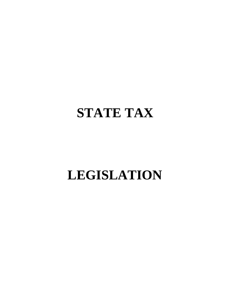## **STATE TAX**

## **LEGISLATION**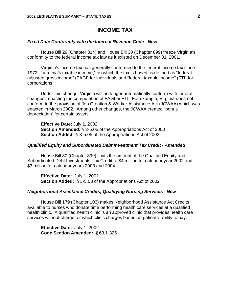### **INCOME TAX**

#### *Fixed Date Conformity with the Internal Revenue Code - New*

House Bill 29 (Chapter 814) and House Bill 30 (Chapter 899) freeze Virginia's conformity to the federal income tax law as it existed on December 31, 2001.

Virginia's income tax has generally conformed to the federal income tax since 1972. "Virginia's taxable income," on which the tax is based, is defined as "federal adjusted gross income" (FAGI) for individuals and "federal taxable income" (FTI) for corporations.

Under this change, Virginia will no longer automatically conform with federal changes impacting the computation of FAGI or FTI. For example, Virginia does not conform to the provision of Job Creation & Worker Assistance Act (JCWAA) which was enacted in March 2002. Among other changes, the JCWAA created "bonus depreciation" for certain assets.

**Effective Date:** July 1, 2002 **Section Amended:** § 3-5.05 of the Appropriations Act of 2000 **Section Added**: § 3-5.05 of the Appropriations Act of 2002

#### *Qualified Equity and Subordinated Debt Investment Tax Credit - Amended*

House Bill 30 (Chapter 899) limits the amount of the Qualified Equity and Subordinated Debt Investments Tax Credit to \$4 million for calendar year 2002 and \$3 million for calendar years 2003 and 2004.

**Effective Date:** July 1, 2002 **Section Added:** § 3-5.03 of the Appropriations Act of 2002

#### *Neighborhood Assistance Credits; Qualifying Nursing Services - New*

House Bill 179 (Chapter 103) makes Neighborhood Assistance Act Credits available to nurses who donate time performing health care services at a qualified health clinic. A qualified health clinic is an approved clinic that provides health care services without charge, or which clinic charges based on patients' ability to pay.

**Effective Date:** July 1, 2002 **Code Section Amended:** § 63.1-325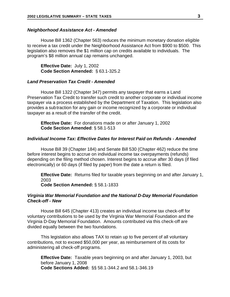#### *Neighborhood Assistance Act - Amended*

House Bill 1362 (Chapter 563) reduces the minimum monetary donation eligible to receive a tax credit under the Neighborhood Assistance Act from \$900 to \$500. This legislation also removes the \$1 million cap on credits available to individuals. The program's \$8 million annual cap remains unchanged.

**Effective Date:** July 1, 2002 **Code Section Amended:** § 63.1-325.2

#### *Land Preservation Tax Credit - Amended*

House Bill 1322 (Chapter 347) permits any taxpayer that earns a Land Preservation Tax Credit to transfer such credit to another corporate or individual income taxpayer via a process established by the Department of Taxation. This legislation also provides a subtraction for any gain or income recognized by a corporate or individual taxpayer as a result of the transfer of the credit.

**Effective Date:** For donations made on or after January 1, 2002 **Code Section Amended**: § 58.1-513

#### *Individual Income Tax: Effective Dates for Interest Paid on Refunds - Amended*

House Bill 39 (Chapter 184) and Senate Bill 530 (Chapter 462) reduce the time before interest begins to accrue on individual income tax overpayments (refunds) depending on the filing method chosen. Interest begins to accrue after 30 days (if filed electronically) or 60 days (if filed by paper) from the date a return is filed.

**Effective Date:** Returns filed for taxable years beginning on and after January 1, 2003

**Code Section Amended:** § 58.1-1833

#### *Virginia War Memorial Foundation and the National D-Day Memorial Foundation Check-off - New*

House Bill 645 (Chapter 413) creates an individual income tax check-off for voluntary contributions to be used by the Virginia War Memorial Foundation and the Virginia D-Day Memorial Foundation. Amounts contributed via this check-off are divided equally between the two foundations.

This legislation also allows TAX to retain up to five percent of all voluntary contributions, not to exceed \$50,000 per year, as reimbursement of its costs for administering all check-off programs.

**Effective Date:** Taxable years beginning on and after January 1, 2003, but before January 1, 2008 **Code Sections Added:** §§ 58.1-344.2 and 58.1-346.19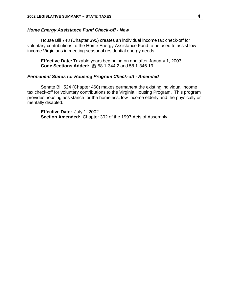#### *Home Energy Assistance Fund Check-off - New*

House Bill 748 (Chapter 395) creates an individual income tax check-off for voluntary contributions to the Home Energy Assistance Fund to be used to assist lowincome Virginians in meeting seasonal residential energy needs.

**Effective Date:** Taxable years beginning on and after January 1, 2003 **Code Sections Added:** §§ 58.1-344.2 and 58.1-346.19

#### *Permanent Status for Housing Program Check-off - Amended*

Senate Bill 524 (Chapter 460) makes permanent the existing individual income tax check-off for voluntary contributions to the Virginia Housing Program. This program provides housing assistance for the homeless, low-income elderly and the physically or mentally disabled.

**Effective Date:** July 1, 2002 **Section Amended:** Chapter 302 of the 1997 Acts of Assembly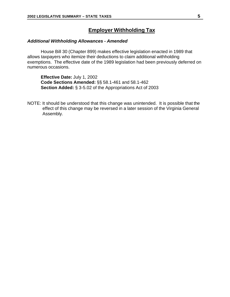## **Employer Withholding Tax**

#### *Additional Withholding Allowances - Amended*

House Bill 30 (Chapter 899) makes effective legislation enacted in 1989 that allows taxpayers who itemize their deductions to claim additional withholding exemptions. The effective date of the 1989 legislation had been previously deferred on numerous occasions.

**Effective Date:** July 1, 2002 **Code Sections Amended:** §§ 58.1-461 and 58.1-462 **Section Added:** § 3-5.02 of the Appropriations Act of 2003

NOTE: It should be understood that this change was unintended. It is possible that the effect of this change may be reversed in a later session of the Virginia General Assembly.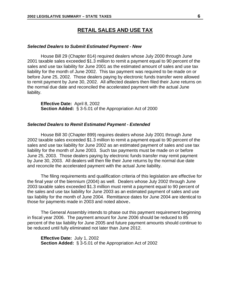### **RETAIL SALES AND USE TAX**

#### *Selected Dealers to Submit Estimated Payment - New*

House Bill 29 (Chapter 814) required dealers whose July 2000 through June 2001 taxable sales exceeded \$1.3 million to remit a payment equal to 90 percent of the sales and use tax liability for June 2001 as the estimated amount of sales and use tax liability for the month of June 2002. This tax payment was required to be made on or before June 25, 2002. Those dealers paying by electronic funds transfer were allowed to remit payment by June 30, 2002. All affected dealers then filed their June returns on the normal due date and reconciled the accelerated payment with the actual June liability.

**Effective Date:** April 8, 2002 **Section Added:** § 3-5.01 of the Appropriation Act of 2000

#### *Selected Dealers to Remit Estimated Payment - Extended*

House Bill 30 (Chapter 899) requires dealers whose July 2001 through June 2002 taxable sales exceeded \$1.3 million to remit a payment equal to 90 percent of the sales and use tax liability for June 2002 as an estimated payment of sales and use tax liability for the month of June 2003. Such tax payments must be made on or before June 25, 2003. Those dealers paying by electronic funds transfer may remit payment by June 30, 2003. All dealers will then file their June returns by the normal due date and reconcile the accelerated payment with the actual June liability.

The filing requirements and qualification criteria of this legislation are effective for the final year of the biennium (2004) as well. Dealers whose July 2002 through June 2003 taxable sales exceeded \$1.3 million must remit a payment equal to 90 percent of the sales and use tax liability for June 2003 as an estimated payment of sales and use tax liability for the month of June 2004. Remittance dates for June 2004 are identical to those for payments made in 2003 and noted above**.**

The General Assembly intends to phase out this payment requirement beginning in fiscal year 2006. The payment amount for June 2006 should be reduced to 85 percent of the tax liability for June 2005 and future payment amounts should continue to be reduced until fully eliminated not later than June 2012.

**Effective Date:** July 1, 2002 **Section Added:** § 3-5.01 of the Appropriation Act of 2002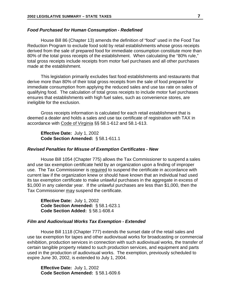#### *Food Purchased for Human Consumption - Redefined*

House Bill 86 (Chapter 13) amends the definition of "food" used in the Food Tax Reduction Program to exclude food sold by retail establishments whose gross receipts derived from the sale of prepared food for immediate consumption constitute more than 80% of the total gross receipts of the establishment. When calculating the "80% rule," total gross receipts include receipts from motor fuel purchases and all other purchases made at the establishment.

This legislation primarily excludes fast food establishments and restaurants that derive more than 80% of their total gross receipts from the sale of food prepared for immediate consumption from applying the reduced sales and use tax rate on sales of qualifying food. The calculation of total gross receipts to include motor fuel purchases ensures that establishments with high fuel sales, such as convenience stores, are ineligible for the exclusion.

Gross receipts information is calculated for each retail establishment that is deemed a dealer and holds a sales and use tax certificate of registration with TAX in accordance with Code of Virginia §§ 58.1-612 and 58.1-613.

**Effective Date:** July 1, 2002 **Code Section Amended:** § 58.1-611.1

#### *Revised Penalties for Misuse of Exemption Certificates - New*

House Bill 1054 (Chapter 775) allows the Tax Commissioner to suspend a sales and use tax exemption certificate held by an organization upon a finding of improper use. The Tax Commissioner is required to suspend the certificate in accordance with current law if the organization knew or should have known that an individual had used its tax exemption certificate to make unlawful purchases in the aggregate in excess of \$1,000 in any calendar year. If the unlawful purchases are less than \$1,000, then the Tax Commissioner may suspend the certificate.

**Effective Date:** July 1, 2002 **Code Section Amended:** § 58.1-623.1 **Code Section Added:** § 58.1-608.4

#### *Film and Audiovisual Works Tax Exemption - Extended*

House Bill 1118 (Chapter 777) extends the sunset date of the retail sales and use tax exemption for tapes and other audiovisual works for broadcasting or commercial exhibition, production services in connection with such audiovisual works, the transfer of certain tangible property related to such production services, and equipment and parts used in the production of audiovisual works. The exemption, previously scheduled to expire June 30, 2002, is extended to July 1, 2004.

**Effective Date:** July 1, 2002 **Code Section Amended:** § 58.1-609.6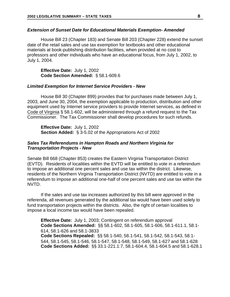#### *Extension of Sunset Date for Educational Materials Exemption- Amended*

House Bill 23 (Chapter 183) and Senate Bill 203 (Chapter 228) extend the sunset date of the retail sales and use tax exemption for textbooks and other educational materials at book-publishing distribution facilities, when provided at no cost to professors and other individuals who have an educational focus, from July 1, 2002, to July 1, 2004.

**Effective Date:** July 1, 2002 **Code Section Amended:** § 58.1-609.6

#### *Limited Exemption for Internet Service Providers - New*

House Bill 30 (Chapter 899) provides that for purchases made between July 1, 2003, and June 30, 2004, the exemption applicable to production, distribution and other equipment used by Internet service providers to provide Internet services, as defined in Code of Virginia § 58.1-602, will be administered through a refund request to the Tax Commissioner. The Tax Commissioner shall develop procedures for such refunds.

**Effective Date:** July 1, 2002 **Section Added:** § 3-5.02 of the Appropriations Act of 2002

#### *Sales Tax Referendums in Hampton Roads and Northern Virginia for Transportation Projects - New*

Senate Bill 668 (Chapter 853) creates the Eastern Virginia Transportation District (EVTD). Residents of localities within the EVTD will be entitled to vote in a referendum to impose an additional one percent sales and use tax within the district. Likewise, residents of the Northern Virginia Transportation District (NVTD) are entitled to vote in a referendum to impose an additional one-half of one percent sales and use tax within the NVTD.

If the sales and use tax increases authorized by this bill were approved in the referenda, all revenues generated by the additional tax would have been used solely to fund transportation projects within the districts. Also, the right of certain localities to impose a local income tax would have been repealed.

**Effective Date:** July 1, 2003; Contingent on referendum approval **Code Sections Amended:** §§ 58.1-602, 58.1-605, 58.1-606, 58.1-611.1, 58.1- 614, 58.1-626 and 58.1-3833 **Code Sections Repealed:** §§ 58.1-540, 58.1-541, 58.1-542, 58.1-543, 58.1- 544, 58.1-545, 58.1-546, 58.1-547, 58.1-548, 58.1-549, 58.1-627 and 58.1-628 **Code Sections Added:** §§ 33.1-221.1:7, 58.1-604.4, 58.1-604.5 and 58.1-628.1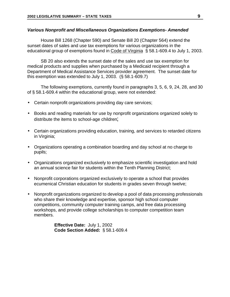#### *Various Nonprofit and Miscellaneous Organizations Exemptions- Amended*

House Bill 1268 (Chapter 590) and Senate Bill 20 (Chapter 564) extend the sunset dates of sales and use tax exemptions for various organizations in the educational group of exemptions found in Code of Virginia § 58.1-609.4 to July 1, 2003.

SB 20 also extends the sunset date of the sales and use tax exemption for medical products and supplies when purchased by a Medicaid recipient through a Department of Medical Assistance Services provider agreement. The sunset date for this exemption was extended to July 1, 2003. (§ 58.1-609.7)

The following exemptions, currently found in paragraphs 3, 5, 6, 9, 24, 28, and 30 of § 58.1-609.4 within the educational group, were not extended:

- Certain nonprofit organizations providing day care services;
- Books and reading materials for use by nonprofit organizations organized solely to distribute the items to school-age children;
- Certain organizations providing education, training, and services to retarded citizens in Virginia;
- Organizations operating a combination boarding and day school at no charge to pupils;
- Organizations organized exclusively to emphasize scientific investigation and hold an annual science fair for students within the Tenth Planning District;
- Nonprofit corporations organized exclusively to operate a school that provides ecumenical Christian education for students in grades seven through twelve;
- Nonprofit organizations organized to develop a pool of data processing professionals who share their knowledge and expertise, sponsor high school computer competitions, community computer training camps, and free data processing workshops, and provide college scholarships to computer competition team members.

**Effective Date:** July 1, 2002 **Code Section Added:** § 58.1-609.4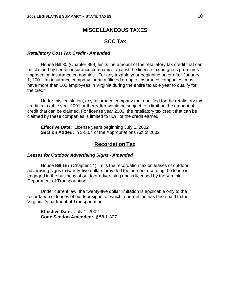### **MISCELLANEOUS TAXES**

## **SCC Tax**

#### *Retaliatory Cost Tax Credit - Amended*

House Bill 30 (Chapter 899) limits the amount of the retaliatory tax credit that can be claimed by certain insurance companies against the license tax on gross premiums imposed on insurance companies. For any taxable year beginning on or after January 1, 2001, an insurance company, or an affiliated group of insurance companies, must have more than 100 employees in Virginia during the entire taxable year to qualify for the credit.

Under this legislation, any insurance company that qualified for the retaliatory tax credit in taxable year 2001 or thereafter would be subject to a limit on the amount of credit that can be claimed. For license year 2003, the retaliatory tax credit that can be claimed by these companies is limited to 80% of the credit earned.

**Effective Date:** License years beginning July 1, 2002 **Section Added:** § 3-5.04 of the Appropriations Act of 2002

#### **Recordation Tax**

#### *Leases for Outdoor Advertising Signs - Amended*

House Bill 187 (Chapter 14) limits the recordation tax on leases of outdoor advertising signs to twenty-five dollars provided the person recording the lease is engaged in the business of outdoor advertising and is licensed by the Virginia Department of Transportation.

Under current law, the twenty-five dollar limitation is applicable only to the recordation of leases of outdoor signs for which a permit fee has been paid to the Virginia Department of Transportation

**Effective Date:** July 1, 2002 **Code Section Amended:** § 58.1-807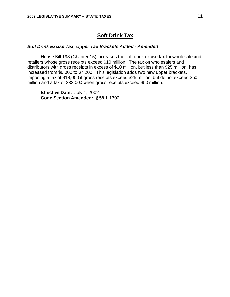## **Soft Drink Tax**

#### *Soft Drink Excise Tax; Upper Tax Brackets Added - Amended*

House Bill 193 (Chapter 15) increases the soft drink excise tax for wholesale and retailers whose gross receipts exceed \$10 million. The tax on wholesalers and distributors with gross receipts in excess of \$10 million, but less than \$25 million, has increased from \$6,000 to \$7,200. This legislation adds two new upper brackets, imposing a tax of \$18,000 if gross receipts exceed \$25 million, but do not exceed \$50 million and a tax of \$33,000 when gross receipts exceed \$50 million.

**Effective Date:** July 1, 2002 **Code Section Amended:** § 58.1-1702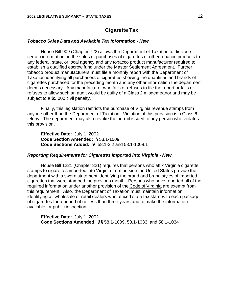## **Cigarette Tax**

#### *Tobacco Sales Data and Available Tax Information - New*

House Bill 909 (Chapter 722) allows the Department of Taxation to disclose certain information on the sales or purchases of cigarettes or other tobacco products to any federal, state, or local agency and any tobacco product manufacturer required to establish a qualified escrow fund under the Master Settlement Agreement. Further, tobacco product manufacturers must file a monthly report with the Department of Taxation identifying all purchasers of cigarettes showing the quantities and brands of cigarettes purchased for the preceding month and any other information the department deems necessary. Any manufacturer who fails or refuses to file the report or fails or refuses to allow such an audit would be guilty of a Class 2 misdemeanor and may be subject to a \$5,000 civil penalty.

Finally, this legislation restricts the purchase of Virginia revenue stamps from anyone other than the Department of Taxation. Violation of this provision is a Class 6 felony. The department may also revoke the permit issued to any person who violates this provision.

**Effective Date:** July 1, 2002 **Code Section Amended:** § 58.1-1009 **Code Sections Added:** §§ 58.1-3.2 and 58.1-1008.1

#### *Reporting Requirements for Cigarettes Imported into Virginia - New*

House Bill 1221 (Chapter 821) requires that persons who affix Virginia cigarette stamps to cigarettes imported into Virginia from outside the United States provide the department with a sworn statement identifying the brand and brand styles of imported cigarettes that were stamped the previous month. Persons who have reported all of the required information under another provision of the Code of Virginia are exempt from this requirement. Also, the Department of Taxation must maintain information identifying all wholesale or retail dealers who affixed state tax stamps to each package of cigarettes for a period of no less than three years and to make the information available for public inspection.

**Effective Date:** July 1, 2002 **Code Sections Amended:** §§ 58.1-1009, 58.1-1033, and 58.1-1034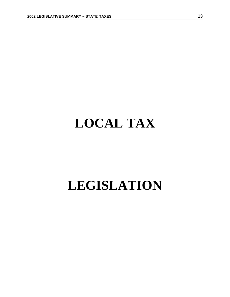## **LOCAL TAX**

## **LEGISLATION**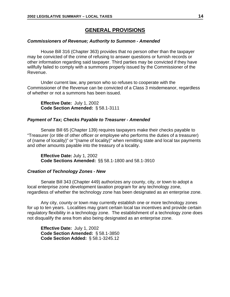## **GENERAL PROVISIONS**

#### *Commissioners of Revenue; Authority to Summon - Amended*

House Bill 316 (Chapter 363) provides that no person other than the taxpayer may be convicted of the crime of refusing to answer questions or furnish records or other information regarding said taxpayer. Third parties may be convicted if they have willfully failed to comply with a summons properly issued by the Commissioner of the Revenue.

Under current law, any person who so refuses to cooperate with the Commissioner of the Revenue can be convicted of a Class 3 misdemeanor, regardless of whether or not a summons has been issued.

**Effective Date:** July 1, 2002 **Code Section Amended:** § 58.1-3111

#### *Payment of Tax; Checks Payable to Treasurer - Amended*

Senate Bill 65 (Chapter 139) requires taxpayers make their checks payable to "Treasurer (or title of other officer or employee who performs the duties of a treasurer) of (name of locality)" or "(name of locality)" when remitting state and local tax payments and other amounts payable into the treasury of a locality.

**Effective Date:** July 1, 2002 **Code Sections Amended:** §§ 58.1-1800 and 58.1-3910

#### *Creation of Technology Zones - New*

Senate Bill 343 (Chapter 449) authorizes any county, city, or town to adopt a local enterprise zone development taxation program for any technology zone, regardless of whether the technology zone has been designated as an enterprise zone.

Any city, county or town may currently establish one or more technology zones for up to ten years. Localities may grant certain local tax incentives and provide certain regulatory flexibility in a technology zone. The establishment of a technology zone does not disqualify the area from also being designated as an enterprise zone.

**Effective Date:** July 1, 2002 **Code Section Amended:** § 58.1-3850 **Code Section Added:** § 58.1-3245.12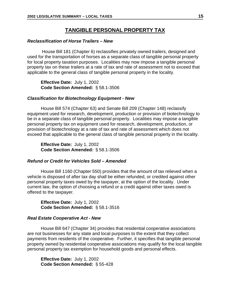## **TANGIBLE PERSONAL PROPERTY TAX**

#### *Reclassification of Horse Trailers – New*

 House Bill 181 (Chapter 6) reclassifies privately owned trailers, designed and used for the transportation of horses as a separate class of tangible personal property for local property taxation purposes. Localities may now impose a tangible personal property tax on these trailers at a rate of tax and rate of assessment not to exceed that applicable to the general class of tangible personal property in the locality.

**Effective Date:** July 1, 2002 **Code Section Amended:** § 58.1-3506

#### *Classification for Biotechnology Equipment - New*

House Bill 574 (Chapter 63) and Senate Bill 209 (Chapter 148) reclassify equipment used for research, development, production or provision of biotechnology to be in a separate class of tangible personal property. Localities may impose a tangible personal property tax on equipment used for research, development, production, or provision of biotechnology at a rate of tax and rate of assessment which does not exceed that applicable to the general class of tangible personal property in the locality.

**Effective Date:** July 1, 2002 **Code Section Amended:** § 58.1-3506

#### *Refund or Credit for Vehicles Sold – Amended*

House Bill 1160 (Chapter 550) provides that the amount of tax relieved when a vehicle is disposed of after tax day shall be either refunded, or credited against other personal property taxes owed by the taxpayer, at the option of the locality. Under current law, the option of choosing a refund or a credit against other taxes owed is offered to the taxpayer.

**Effective Date:** July 1, 2002 **Code Section Amended:** § 58.1-3516

#### *Real Estate Cooperative Act - New*

House Bill 647 (Chapter 34) provides that residential cooperative associations are not businesses for any state and local purposes to the extent that they collect payments from residents of the cooperative. Further, it specifies that tangible personal property owned by residential cooperative associations may qualify for the local tangible personal property tax exemption for household goods and personal effects.

**Effective Date:** July 1, 2002 **Code Section Amended:** § 55-428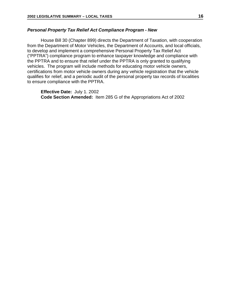#### *Personal Property Tax Relief Act Compliance Program - New*

House Bill 30 (Chapter 899) directs the Department of Taxation, with cooperation from the Department of Motor Vehicles, the Department of Accounts, and local officials, to develop and implement a comprehensive Personal Property Tax Relief Act ("PPTRA") compliance program to enhance taxpayer knowledge and compliance with the PPTRA and to ensure that relief under the PPTRA is only granted to qualifying vehicles. The program will include methods for educating motor vehicle owners, certifications from motor vehicle owners during any vehicle registration that the vehicle qualifies for relief, and a periodic audit of the personal property tax records of localities to ensure compliance with the PPTRA.

**Effective Date:** July 1. 2002 **Code Section Amended:** Item 285 G of the Appropriations Act of 2002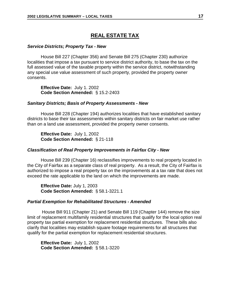### **REAL ESTATE TAX**

#### *Service Districts; Property Tax - New*

House Bill 227 (Chapter 356) and Senate Bill 275 (Chapter 230) authorize localities that impose a tax pursuant to service district authority, to base the tax on the full assessed value of the taxable property within the service district, notwithstanding any special use value assessment of such property, provided the property owner consents.

**Effective Date:** July 1. 2002 **Code Section Amended:** § 15.2-2403

#### *Sanitary Districts; Basis of Property Assessments - New*

House Bill 228 (Chapter 194) authorizes localities that have established sanitary districts to base their tax assessments within sanitary districts on fair market use rather than on a land use assessment, provided the property owner consents.

**Effective Date:** July 1, 2002 **Code Section Amended:** § 21-118

#### *Classification of Real Property Improvements in Fairfax City - New*

House Bill 239 (Chapter 16) reclassifies improvements to real property located in the City of Fairfax as a separate class of real property. As a result, the City of Fairfax is authorized to impose a real property tax on the improvements at a tax rate that does not exceed the rate applicable to the land on which the improvements are made.

**Effective Date:** July 1, 2003 **Code Section Amended:** § 58.1-3221.1

#### *Partial Exemption for Rehabilitated Structures - Amended*

 House Bill 911 (Chapter 21) and Senate Bill 119 (Chapter 144) remove the size limit of replacement multifamily residential structures that qualify for the local option real property tax partial exemption for replacement residential structures. These bills also clarify that localities may establish square footage requirements for all structures that qualify for the partial exemption for replacement residential structures.

**Effective Date:** July 1, 2002 **Code Section Amended:** § 58.1-3220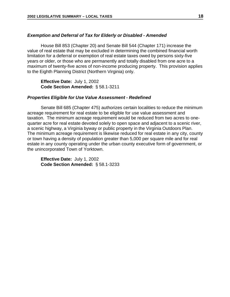#### *Exemption and Deferral of Tax for Elderly or Disabled - Amended*

House Bill 853 (Chapter 20) and Senate Bill 544 (Chapter 171) increase the value of real estate that may be excluded in determining the combined financial worth limitation for a deferral or exemption of real estate taxes owed by persons sixty-five years or older, or those who are permanently and totally disabled from one acre to a maximum of twenty-five acres of non-income producing property. This provision applies to the Eighth Planning District (Northern Virginia) only.

**Effective Date:** July 1, 2002 **Code Section Amended:** § 58.1-3211

#### *Properties Eligible for Use Value Assessment - Redefined*

Senate Bill 685 (Chapter 475) authorizes certain localities to reduce the minimum acreage requirement for real estate to be eligible for use value assessment and taxation. The minimum acreage requirement would be reduced from two acres to onequarter acre for real estate devoted solely to open space and adjacent to a scenic river, a scenic highway, a Virginia byway or public property in the Virginia Outdoors Plan. The minimum acreage requirement is likewise reduced for real estate in any city, county or town having a density of population greater than 5,000 per square mile and for real estate in any county operating under the urban county executive form of government, or the unincorporated Town of Yorktown.

**Effective Date:** July 1, 2002 **Code Section Amended:** § 58.1-3233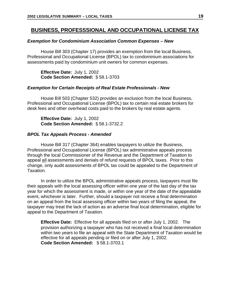### **BUSINESS, PROFESSSIONAL AND OCCUPATIONAL LICENSE TAX**

#### *Exemption for Condominium Association Common Expenses – New*

House Bill 303 (Chapter 17) provides an exemption from the local Business, Professional and Occupational License (BPOL) tax to condominium associations for assessments paid by condominium unit owners for common expenses.

**Effective Date:** July 1, 2002 **Code Section Amended:** § 58.1-3703

#### *Exemption for Certain Receipts of Real Estate Professionals - New*

House Bill 503 (Chapter 532) provides an exclusion from the local Business, Professional and Occupational License (BPOL) tax to certain real estate brokers for desk fees and other overhead costs paid to the brokers by real estate agents.

**Effective Date:** July 1, 2002 **Code Section Amended:** § 58.1-3732.2

#### *BPOL Tax Appeals Process - Amended*

House Bill 317 (Chapter 364) enables taxpayers to utilize the Business, Professional and Occupational License (BPOL) tax administrative appeals process through the local Commissioner of the Revenue and the Department of Taxation to appeal all assessments and denials of refund requests of BPOL taxes. Prior to this change, only audit assessments of BPOL tax could be appealed to the Department of Taxation.

In order to utilize the BPOL administrative appeals process, taxpayers must file their appeals with the local assessing officer within one year of the last day of the tax year for which the assessment is made, or within one year of the date of the appealable event, whichever is later. Further, should a taxpayer not receive a final determination on an appeal from the local assessing officer within two years of filing the appeal, the taxpayer may treat the lack of action as an adverse final local determination, eligible for appeal to the Department of Taxation.

**Effective Date:** Effective for all appeals filed on or after July 1, 2002. The provision authorizing a taxpayer who has not received a final local determination within two years to file an appeal with the State Department of Taxation would be effective for all appeals pending or filed on or after July 1, 2002. **Code Section Amended:** § 58.1-3703.1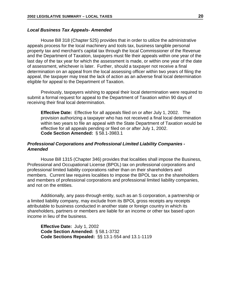#### *Local Business Tax Appeals- Amended*

House Bill 318 (Chapter 525) provides that in order to utilize the administrative appeals process for the local machinery and tools tax, business tangible personal property tax and merchant's capital tax through the local Commissioner of the Revenue and the Department of Taxation, taxpayers must file their appeals within one year of the last day of the tax year for which the assessment is made, or within one year of the date of assessment, whichever is later. Further, should a taxpayer not receive a final determination on an appeal from the local assessing officer within two years of filing the appeal, the taxpayer may treat the lack of action as an adverse final local determination eligible for appeal to the Department of Taxation.

Previously, taxpayers wishing to appeal their local determination were required to submit a formal request for appeal to the Department of Taxation within 90 days of receiving their final local determination.

**Effective Date:** Effective for all appeals filed on or after July 1, 2002. The provision authorizing a taxpayer who has not received a final local determination within two years to file an appeal with the State Department of Taxation would be effective for all appeals pending or filed on or after July 1, 2002. **Code Section Amended:** § 58.1-3983.1

#### *Professional Corporations and Professional Limited Liability Companies - Amended*

House Bill 1315 (Chapter 346) provides that localities shall impose the Business, Professional and Occupational License (BPOL) tax on professional corporations and professional limited liability corporations rather than on their shareholders and members. Current law requires localities to impose the BPOL tax on the shareholders and members of professional corporations and professional limited liability companies, and not on the entities.

Additionally, any pass-through entity, such as an S corporation, a partnership or a limited liability company, may exclude from its BPOL gross receipts any receipts attributable to business conducted in another state or foreign country in which its shareholders, partners or members are liable for an income or other tax based upon income in lieu of the business.

**Effective Date:** July 1, 2002 **Code Section Amended:** § 58.1-3732 **Code Sections Repealed:** §§ 13.1-554 and 13.1-1119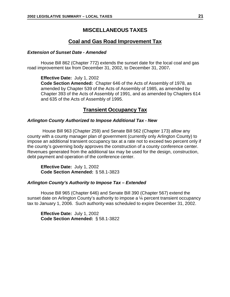### **MISCELLANEOUS TAXES**

## **Coal and Gas Road Improvement Tax**

#### *Extension of Sunset Date - Amended*

House Bill 862 (Chapter 772) extends the sunset date for the local coal and gas road improvement tax from December 31, 2002, to December 31, 2007*.*

**Effective Date:** July 1, 2002

**Code Section Amended:** Chapter 646 of the Acts of Assembly of 1978, as amended by Chapter 539 of the Acts of Assembly of 1985, as amended by Chapter 393 of the Acts of Assembly of 1991, and as amended by Chapters 614 and 635 of the Acts of Assembly of 1995.

### **Transient Occupancy Tax**

#### *Arlington County Authorized to Impose Additional Tax - New*

House Bill 963 (Chapter 259) and Senate Bill 562 (Chapter 173) allow any county with a county manager plan of government (currently only Arlington County) to impose an additional transient occupancy tax at a rate not to exceed two percent only if the county's governing body approves the construction of a county conference center. Revenues generated from the additional tax may be used for the design, construction, debt payment and operation of the conference center.

**Effective Date:** July 1, 2002 **Code Section Amended:** § 58.1-3823

#### *Arlington County's Authority to Impose Tax – Extended*

House Bill 965 (Chapter 646) and Senate Bill 390 (Chapter 567) extend the sunset date on Arlington County's authority to impose a ¼ percent transient occupancy tax to January 1, 2006. Such authority was scheduled to expire December 31, 2002.

**Effective Date:** July 1, 2002 **Code Section Amended:** § 58.1-3822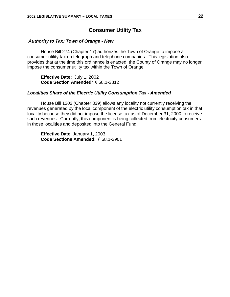## **Consumer Utility Tax**

#### *Authority to Tax; Town of Orange - New*

House Bill 274 (Chapter 17) authorizes the Town of Orange to impose a consumer utility tax on telegraph and telephone companies. This legislation also provides that at the time this ordinance is enacted, the County of Orange may no longer impose the consumer utility tax within the Town of Orange.

**Effective Date:** July 1, 2002 **Code Section Amended***: §* 58.1-3812

#### *Localities Share of the Electric Utility Consumption Tax - Amended*

House Bill 1202 (Chapter 339) allows any locality not currently receiving the revenues generated by the local component of the electric utility consumption tax in that locality because they did not impose the license tax as of December 31, 2000 to receive such revenues. Currently, this component is being collected from electricity consumers in those localities and deposited into the General Fund.

**Effective Date**: January 1, 2003 **Code Sections Amended:** § 58.1-2901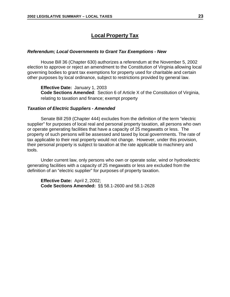## **Local Property Tax**

#### *Referendum; Local Governments to Grant Tax Exemptions - New*

House Bill 36 (Chapter 630) authorizes a referendum at the November 5, 2002 election to approve or reject an amendment to the Constitution of Virginia allowing local governing bodies to grant tax exemptions for property used for charitable and certain other purposes by local ordinance, subject to restrictions provided by general law.

**Effective Date:** January 1, 2003 **Code Sections Amended**: Section 6 of Article X of the Constitution of Virginia, relating to taxation and finance; exempt property

#### *Taxation of Electric Suppliers - Amended*

Senate Bill 259 (Chapter 444) excludes from the definition of the term "electric supplier" for purposes of local real and personal property taxation, all persons who own or operate generating facilities that have a capacity of 25 megawatts or less. The property of such persons will be assessed and taxed by local governments. The rate of tax applicable to their real property would not change. However, under this provision, their personal property is subject to taxation at the rate applicable to machinery and tools.

Under current law, only persons who own or operate solar, wind or hydroelectric generating facilities with a capacity of 25 megawatts or less are excluded from the definition of an "electric supplier" for purposes of property taxation.

**Effective Date:** April 2, 2002; **Code Sections Amended:** §§ 58.1-2600 and 58.1-2628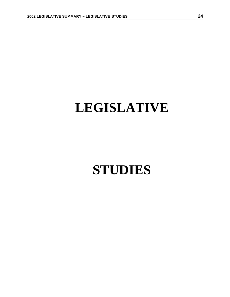## **LEGISLATIVE**

## **STUDIES**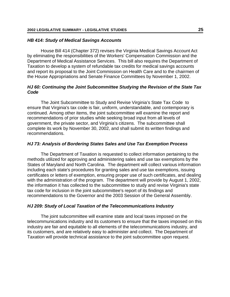#### *HB 414: Study of Medical Savings Accounts*

House Bill 414 (Chapter 372) revises the Virginia Medical Savings Account Act by eliminating the responsibilities of the Workers' Compensation Commission and the Department of Medical Assistance Services. This bill also requires the Department of Taxation to develop a system of refundable tax credits for medical savings accounts and report its proposal to the Joint Commission on Health Care and to the chairmen of the House Appropriations and Senate Finance Committees by November 1, 2002.

#### *HJ 60: Continuing the Joint Subcommittee Studying the Revision of the State Tax Code*

The Joint Subcommittee to Study and Revise Virginia's State Tax Code to ensure that Virginia's tax code is fair, uniform, understandable, and contemporary is continued. Among other items, the joint subcommittee will examine the report and recommendations of prior studies while seeking broad input from all levels of government, the private sector, and Virginia's citizens. The subcommittee shall complete its work by November 30, 2002, and shall submit its written findings and recommendations.

#### *HJ 73: Analysis of Bordering States Sales and Use Tax Exemption Process*

The Department of Taxation is requested to collect information pertaining to the methods utilized for approving and administering sales and use tax exemptions by the States of Maryland and North Carolina. The department will collect various information including each state's procedures for granting sales and use tax exemptions, issuing certificates or letters of exemption, ensuring proper use of such certificates, and dealing with the administration of the program. The department will provide by August 1, 2002, the information it has collected to the subcommittee to study and revise Virginia's state tax code for inclusion in the joint subcommittee's report of its findings and recommendations to the Governor and the 2003 Session of the General Assembly.

#### *HJ 209: Study of Local Taxation of the Telecommunications Industry*

The joint subcommittee will examine state and local taxes imposed on the telecommunications industry and its customers to ensure that the taxes imposed on this industry are fair and equitable to all elements of the telecommunications industry, and its customers, and are relatively easy to administer and collect. The Department of Taxation will provide technical assistance to the joint subcommittee upon request.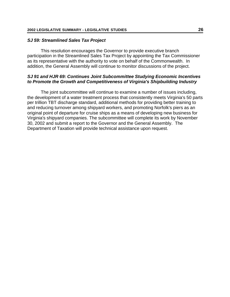#### *SJ 59: Streamlined Sales Tax Project*

This resolution encourages the Governor to provide executive branch participation in the Streamlined Sales Tax Project by appointing the Tax Commissioner as its representative with the authority to vote on behalf of the Commonwealth. In addition, the General Assembly will continue to monitor discussions of the project.

#### *SJ 91 and HJR 69: Continues Joint Subcommittee Studying Economic Incentives to Promote the Growth and Competitiveness of Virginia's Shipbuilding Industry*

The joint subcommittee will continue to examine a number of issues including, the development of a water treatment process that consistently meets Virginia's 50 parts per trillion TBT discharge standard, additional methods for providing better training to and reducing turnover among shipyard workers, and promoting Norfolk's piers as an original point of departure for cruise ships as a means of developing new business for Virginia's shipyard companies. The subcommittee will complete its work by November 30, 2002 and submit a report to the Governor and the General Assembly. The Department of Taxation will provide technical assistance upon request.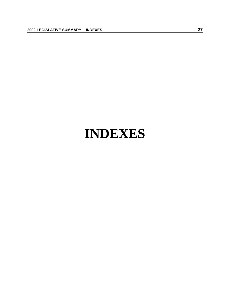## **INDEXES**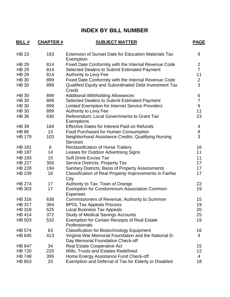## **INDEX BY BILL NUMBER**

| <u>BILL#</u>  | <b>CHAPTER#</b> | <b>SUBJECT MATTER</b>                                                                     | <b>PAGE</b>    |
|---------------|-----------------|-------------------------------------------------------------------------------------------|----------------|
| <b>HB 23</b>  | 183             | <b>Extension of Sunset Date for Education Materials Tax</b><br>Exemption                  | 9              |
| <b>HB 29</b>  | 814             | Fixed Date Conformity with the Internal Revenue Code                                      | $\overline{2}$ |
| <b>HB 29</b>  | 814             | Selected Dealers to Submit Estimated Payment                                              | $\overline{7}$ |
| <b>HB 29</b>  | 814             | Authority to Levy Fee                                                                     | 11             |
| <b>HB 30</b>  | 899             | Fixed Date Conformity with the Internal Revenue Code                                      | $\overline{2}$ |
| <b>HB30</b>   | 899             | Qualified Equity and Subordinated Debt Investment Tax<br>Credit                           | 3              |
| <b>HB 30</b>  | 899             | <b>Additional Withholding Allowances</b>                                                  | 6              |
| <b>HB 30</b>  | 899             | Selected Dealers to Submit Estimated Payment                                              | $\overline{7}$ |
| <b>HB 30</b>  | 899             | Limited Exemption for Internet Service Providers                                          | 9              |
| <b>HB 30</b>  | 899             | Authority to Levy Fee                                                                     | 11             |
| <b>HB36</b>   | 630             | Referendum; Local Governments to Grant Tax<br>Exemptions                                  | 23             |
| <b>HB39</b>   | 184             | <b>Effective Dates for Interest Paid on Refunds</b>                                       | 4              |
| <b>HB 86</b>  | 13              | Food Purchased for Human Consumption                                                      | 8              |
| <b>HB 179</b> | 103             | Neighborhood Assistance Credits; Qualifying Nursing<br><b>Services</b>                    | 3              |
| <b>HB 181</b> | 6               | <b>Reclassification of Horse Trailers</b>                                                 | 16             |
| <b>HB 187</b> | 14              | Leases for Outdoor Advertising Signs                                                      | 11             |
| <b>HB 193</b> | 15              | <b>Soft Drink Excise Tax</b>                                                              | 11             |
| <b>HB 227</b> | 356             | <b>Service Districts; Property Tax</b>                                                    | 17             |
| <b>HB 228</b> | 194             | Sanitary Districts; Basis of Property Assessments                                         | 17             |
| <b>HB 239</b> | 16              | Classification of Real Property Improvements in Fairfax<br>City                           | 17             |
| <b>HB 274</b> | 17              | Authority to Tax; Town of Orange                                                          | 22             |
| <b>HB 303</b> | 17              | <b>Exemption for Condominium Association Common</b><br><b>Expenses</b>                    | 19             |
| <b>HB 316</b> | 636             | Commissioners of Revenue; Authority to Summon                                             | 15             |
| <b>HB 317</b> | 364             | <b>BPOL Tax Appeals Process</b>                                                           | 19             |
| <b>HB 318</b> | 525             | <b>Local Business Tax Appeals</b>                                                         | 20             |
| <b>HB 414</b> | 372             | <b>Study of Medical Savings Accounts</b>                                                  | 25             |
| <b>HB 503</b> | 532             | <b>Exemption for Certain Receipts of Real Estate</b><br>Professionals                     | 19             |
| <b>HB 574</b> | 63              | <b>Classification for Biotechnology Equipment</b>                                         | 16             |
| <b>HB 645</b> | 413             | Virginia War Memorial Foundation and the National D-<br>Day Memorial Foundation Check-off | 4              |
| <b>HB 647</b> | 34              | <b>Real Estate Cooperative Act</b>                                                        | 15             |
| <b>HB 720</b> | 220             | Wills, Trusts and Estates Redefined                                                       | 12             |
| <b>HB 748</b> | 395             | Home Energy Assistance Fund Check-off                                                     | 4              |
| <b>HB 853</b> | 20              | Exemption and Deferral of Tax for Elderly or Disabled                                     | 18             |
|               |                 |                                                                                           |                |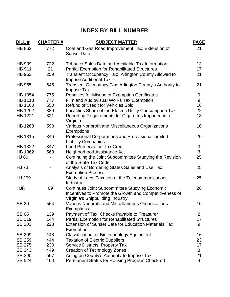## **INDEX BY BILL NUMBER**

| <b>BILL#</b>   | <b>CHAPTER#</b> | <b>SUBJECT MATTER</b>                                                                                                                                | <b>PAGE</b>    |
|----------------|-----------------|------------------------------------------------------------------------------------------------------------------------------------------------------|----------------|
| <b>HB 862</b>  | 772             | Coal and Gas Road Improvement Tax; Extension of<br><b>Sunset Date</b>                                                                                | 21             |
| <b>HB 909</b>  | 722             | <b>Tobacco Sales Data and Available Tax Information</b>                                                                                              | 13             |
| <b>HB 911</b>  | 21              | <b>Partial Exemption for Rehabilitated Structures</b>                                                                                                | 17             |
| <b>HB 963</b>  | 259             | Transient Occupancy Tax; Arlington County Allowed to<br><b>Impose Additional Tax</b>                                                                 | 21             |
| <b>HB 965</b>  | 646             | Transient Occupancy Tax; Arlington County's Authority to<br>Impose Tax                                                                               | 21             |
| HB 1054        | 775             | Penalties for Misuse of Exemption Certificates                                                                                                       | 9              |
| <b>HB 1118</b> | 777             | Film and Audiovisual Works Tax Exemption                                                                                                             | $\overline{9}$ |
| <b>HB 1160</b> | 550             | <b>Refund or Credit for Vehicles Sold</b>                                                                                                            | 16             |
| <b>HB 1202</b> | 339             | Localities Share of the Electric Utility Consumption Tax                                                                                             | 22             |
| HB 1221        | 821             | Reporting Requirements for Cigarettes Imported into<br>Virginia                                                                                      | 13             |
| <b>HB 1268</b> | 590             | Various Nonprofit and Miscellaneous Organizations<br>Exemptions                                                                                      | 10             |
| <b>HB 1315</b> | 346             | Professional Corporations and Professional Limited<br><b>Liability Companies</b>                                                                     | 20             |
| HB 1322        | 347             | <b>Land Preservation Tax Credit</b>                                                                                                                  | $\sqrt{3}$     |
| <b>HB 1362</b> | 563             | Neighborhood Assistance Act                                                                                                                          | 3              |
| HJ 60          | -               | Continuing the Joint Subcommittee Studying the Revision                                                                                              | 25             |
|                |                 | of the State Tax Code                                                                                                                                |                |
| <b>HJ73</b>    | -               | Analysis of Bordering States Sales and Use Tax<br><b>Exemption Process</b>                                                                           | 25             |
| HJ 209         |                 | Study of Local Taxation of the Telecommunications<br>Industry                                                                                        | 25             |
| <b>HJR</b>     | 69              | <b>Continues Joint Subcommittee Studying Economic</b><br>Incentives to Promote the Growth and Competitiveness of<br>Virginia's Shipbuilding Industry | 26             |
| <b>SB 20</b>   | 564             | Various Nonprofit and Miscellaneous Organizations<br>Exemptions                                                                                      | 10             |
| <b>SB 65</b>   | 139             | Payment of Tax; Checks Payable to Treasurer                                                                                                          | $\overline{2}$ |
| <b>SB 119</b>  | 144             | <b>Partial Exemption for Rehabilitated Structures</b>                                                                                                | 17             |
| <b>SB 203</b>  | 228             | <b>Extension of Sunset Date for Education Materials Tax</b><br>Exemption                                                                             | 9              |
| <b>SB 209</b>  | 148             | <b>Classification for Biotechnology Equipment</b>                                                                                                    | 16             |
| <b>SB 259</b>  | 444             | <b>Taxation of Electric Suppliers</b>                                                                                                                | 23             |
| <b>SB 275</b>  | 230             | Service Districts; Property Tax                                                                                                                      | 17             |
| <b>SB 343</b>  | 449             | <b>Creation of Technology Zones</b>                                                                                                                  | 3              |
| <b>SB 390</b>  | 567             | Arlington County's Authority to Impose Tax                                                                                                           | 21             |
| SB 524         | 460             | Permanent Status for Housing Program Check-off                                                                                                       | 4              |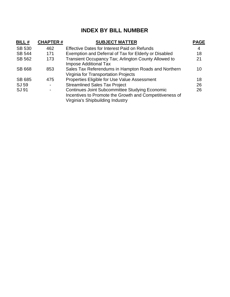## **INDEX BY BILL NUMBER**

| <b>BILL#</b>  | <b>CHAPTER#</b> | <b>SUBJECT MATTER</b>                                                                                                                                | <b>PAGE</b>    |
|---------------|-----------------|------------------------------------------------------------------------------------------------------------------------------------------------------|----------------|
| <b>SB 530</b> | 462             | <b>Effective Dates for Interest Paid on Refunds</b>                                                                                                  | $\overline{4}$ |
| <b>SB 544</b> | 171             | Exemption and Deferral of Tax for Elderly or Disabled                                                                                                | 18             |
| SB 562        | 173             | Transient Occupancy Tax; Arlington County Allowed to<br><b>Impose Additional Tax</b>                                                                 | 21             |
| <b>SB 668</b> | 853             | Sales Tax Referendums in Hampton Roads and Northern<br>Virginia for Transportation Projects                                                          | 10             |
| <b>SB 685</b> | 475             | Properties Eligible for Use Value Assessment                                                                                                         | 18             |
| <b>SJ 59</b>  |                 | <b>Streamlined Sales Tax Project</b>                                                                                                                 | 26             |
| SJ 91         |                 | <b>Continues Joint Subcommittee Studying Economic</b><br>Incentives to Promote the Growth and Competitiveness of<br>Virginia's Shipbuilding Industry | 26             |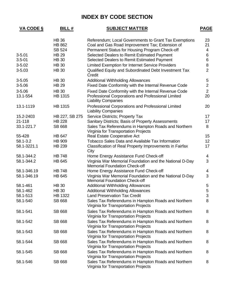## **INDEX BY CODE SECTION**

| <b>VA CODE §</b> | <b>BILL#</b>   | <b>SUBJECT MATTER</b>                                                                           | <b>PAGE</b>     |
|------------------|----------------|-------------------------------------------------------------------------------------------------|-----------------|
|                  | <b>HB 36</b>   | Referendum; Local Governments to Grant Tax Exemptions                                           | 23              |
|                  | <b>HB 862</b>  | Coal and Gas Road Improvement Tax; Extension of                                                 | 21              |
|                  | <b>SB 524</b>  | Permanent Status for Housing Program Check-off                                                  | 4               |
| $3 - 5.01$       | <b>HB 29</b>   | Selected Dealers to Remit Estimated Payment                                                     | 6               |
| $3.5 - 01$       | <b>HB 30</b>   | Selected Dealers to Remit Estimated Payment                                                     | 6               |
| $3 - 5.02$       | <b>HB 30</b>   | Limited Exemption for Internet Service Providers                                                | 8               |
| $3 - 5.03$       | <b>HB 30</b>   | Qualified Equity and Subordinated Debt Investment Tax<br>Credit                                 | $\overline{2}$  |
| $3 - 5.05$       | <b>HB 30</b>   | <b>Additional Withholding Allowances</b>                                                        | 5               |
| $3 - 5.06$       | <b>HB 29</b>   | Fixed Date Conformity with the Internal Revenue Code                                            | $\overline{2}$  |
| $3 - 5.06$       | <b>HB 30</b>   | Fixed Date Conformity with the Internal Revenue Code                                            | $\overline{2}$  |
| 13.1-554         | <b>HB 1315</b> | Professional Corporations and Professional Limited<br><b>Liability Companies</b>                | 20              |
| 13.1-1119        | <b>HB 1315</b> | Professional Corporations and Professional Limited<br><b>Liability Companies</b>                | 20              |
| 15.2-2403        | HB 227, SB 275 | Service Districts; Property Tax                                                                 | 17              |
| 21-118           | <b>HB 228</b>  | Sanitary Districts; Basis of Property Assessments                                               | 17              |
| 33.1-221.7       | <b>SB 668</b>  | Sales Tax Referendums in Hampton Roads and Northern<br>Virginia for Transportation Projects     | 8               |
| 55-428           | <b>HB 647</b>  | Real Estate Cooperative Act                                                                     | 15              |
| 58.1-3.2         | <b>HB 909</b>  | <b>Tobacco Sales Data and Available Tax Information</b>                                         | 12 <sub>2</sub> |
| 58.1-3221.1      | HB 239         | Classification of Real Property Improvements in Fairfax<br>City                                 | 17              |
| 58.1-344.2       | <b>HB 748</b>  | Home Energy Assistance Fund Check-off                                                           | 4               |
| 58.1-344.2       | <b>HB 645</b>  | Virginia War Memorial Foundation and the National D-Day<br><b>Memorial Foundation Check-off</b> | 3               |
| 58.1-346.19      | <b>HB 748</b>  | Home Energy Assistance Fund Check-off                                                           | 4               |
| 58.1-346.19      | <b>HB 645</b>  | Virginia War Memorial Foundation and the National D-Day<br><b>Memorial Foundation Check-off</b> | 3               |
| 58.1-461         | <b>HB 30</b>   | <b>Additional Withholding Allowances</b>                                                        | 5               |
| 58.1-462         | <b>HB 30</b>   | <b>Additional Withholding Allowances</b>                                                        | 5               |
| 58.1-513         | <b>HB 1322</b> | <b>Land Preservation Tax Credit</b>                                                             | 3               |
| 58.1-540         | SB 668         | Sales Tax Referendums in Hampton Roads and Northern<br>Virginia for Transportation Projects     | 8               |
| 58.1-541         | SB 668         | Sales Tax Referendums in Hampton Roads and Northern<br>Virginia for Transportation Projects     | 8               |
| 58.1-542         | SB 668         | Sales Tax Referendums in Hampton Roads and Northern<br>Virginia for Transportation Projects     | 8               |
| 58.1-543         | SB 668         | Sales Tax Referendums in Hampton Roads and Northern<br>Virginia for Transportation Projects     | 8               |
| 58.1-544         | SB 668         | Sales Tax Referendums in Hampton Roads and Northern<br>Virginia for Transportation Projects     | 8               |
| 58.1-545         | <b>SB 668</b>  | Sales Tax Referendums in Hampton Roads and Northern<br>Virginia for Transportation Projects     | 8               |
| 58.1-546         | SB 668         | Sales Tax Referendums in Hampton Roads and Northern<br>Virginia for Transportation Projects     | 8               |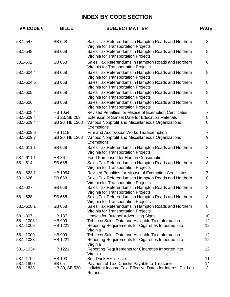## **INDEX BY CODE SECTION**

| VA CODE §              | <b>BILL#</b>             | <b>SUBJECT MATTER</b>                                                                                          | <b>PAGE</b>                        |
|------------------------|--------------------------|----------------------------------------------------------------------------------------------------------------|------------------------------------|
| 58.1-547               | <b>SB 668</b>            | Sales Tax Referendums in Hampton Roads and Northern<br>Virginia for Transportation Projects                    | 8                                  |
| 58.1-548               | <b>SB 668</b>            | Sales Tax Referendums in Hampton Roads and Northern<br>Virginia for Transportation Projects                    | 8                                  |
| 58.1-602               | <b>SB 668</b>            | Sales Tax Referendums in Hampton Roads and Northern<br>Virginia for Transportation Projects                    | 8                                  |
| 58.1-604.4             | <b>SB 668</b>            | Sales Tax Referendums in Hampton Roads and Northern<br>Virginia for Transportation Projects                    | 8                                  |
| 58.1-604.5             | <b>SB 668</b>            | Sales Tax Referendums in Hampton Roads and Northern<br>Virginia for Transportation Projects                    | 8                                  |
| 58.1-605               | <b>SB 668</b>            | Sales Tax Referendums in Hampton Roads and Northern<br>Virginia for Transportation Projects                    | 8                                  |
| 58.1-606               | <b>SB 668</b>            | Sales Tax Referendums in Hampton Roads and Northern<br>Virginia for Transportation Projects                    | 8                                  |
| 58.1-608.4             | HB 1054                  | Revised Penalties for Misuse of Exemption Certificates                                                         | 7                                  |
| 58.1-609.4             | HB 23, SB 203            | <b>Extension of Sunset Date for Education Materials</b>                                                        | 8                                  |
| 58.1-609.4             | SB 20, HB 1268           | Various Nonprofit and Miscellaneous Organizations<br>Exemptions                                                | 8                                  |
| 58.1-609.6             | <b>HB 1118</b>           | Film and Audiovisual Works Tax Exemption                                                                       | 7                                  |
| 58.1-609.7             | SB 20, HB 1268           | Various Nonprofit and Miscellaneous Organizations<br>Exemptions                                                | 9                                  |
| 58.1-611.1             | <b>SB 668</b>            | Sales Tax Referendums in Hampton Roads and Northern<br>Virginia for Transportation Projects                    | 8                                  |
| 58.1-611.1             | <b>HB 86</b>             | Food Purchased for Human Consumption                                                                           | 7                                  |
| 58.1-614               | SB 668                   | Sales Tax Referendums in Hampton Roads and Northern<br>Virginia for Transportation Projects                    | 8                                  |
| 58.1-623.1             | HB 1054                  | Revised Penalties for Misuse of Exemption Certificates                                                         | 7                                  |
| 58.1-626               | <b>SB 668</b>            | Sales Tax Referendums in Hampton Roads and Northern<br>Virginia for Transportation Projects                    | 8                                  |
| 58.1-627               | <b>SB 668</b>            | Sales Tax Referendums in Hampton Roads and Northern<br>Virginia for Transportation Projects                    | 8                                  |
| 58.1-628               | <b>SB 668</b>            | Sales Tax Referendums in Hampton Roads and Northern<br>Virginia for Transportation Projects                    | 8                                  |
| 58.1-628.1             | <b>SB 668</b>            | Sales Tax Referendums in Hampton Roads and Northern<br>Virginia for Transportation Projects                    | 8                                  |
| 58.1-807               | <b>HB 187</b>            | Leases for Outdoor Advertising Signs                                                                           | 10                                 |
| 58.1-1008.1            | <b>HB 909</b>            | <b>Tobacco Sales Data and Available Tax Information</b>                                                        | 12 <sub>2</sub>                    |
| 58.1-1009              | <b>HB 1221</b>           | Reporting Requirements for Cigarettes Imported into<br>Virginia                                                | 12 <sub>2</sub>                    |
| 58.1-1009<br>58.1-1033 | HB 909<br><b>HB 1221</b> | <b>Tobacco Sales Data and Available Tax Information</b><br>Reporting Requirements for Cigarettes Imported into | 12 <sub>2</sub><br>12 <sub>2</sub> |
| 58.1-1034              | <b>HB 1221</b>           | Virginia<br>Reporting Requirements for Cigarettes Imported into<br>Virginia                                    | 12                                 |
| 58.1-1702              | <b>HB 193</b>            | <b>Soft Drink Excise Tax</b>                                                                                   | 11                                 |
| 58.1-1800              | SB 65                    | Payment of Tax; Checks Payable to Treasurer                                                                    | 14                                 |
| 58.1-1833              | HB 39, SB 530            | Individual Income Tax: Effective Dates for Interest Paid on<br>Refunds                                         | 3                                  |